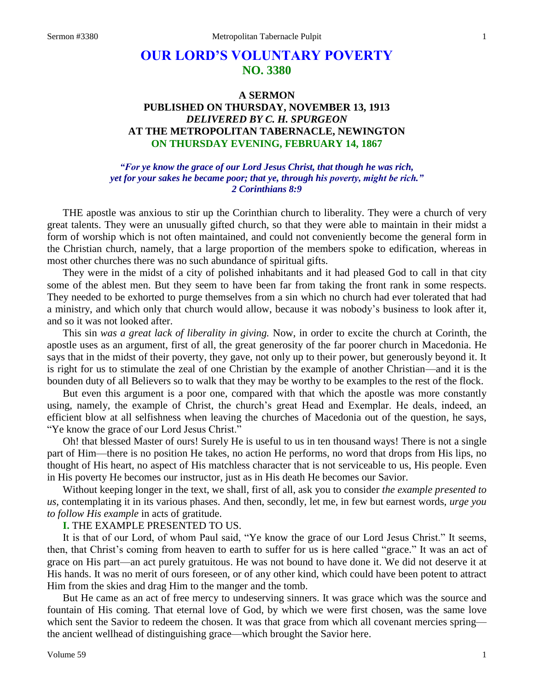# **OUR LORD'S VOLUNTARY POVERTY NO. 3380**

## **A SERMON PUBLISHED ON THURSDAY, NOVEMBER 13, 1913** *DELIVERED BY C. H. SPURGEON* **AT THE METROPOLITAN TABERNACLE, NEWINGTON ON THURSDAY EVENING, FEBRUARY 14, 1867**

*"For ye know the grace of our Lord Jesus Christ, that though he was rich, yet for your sakes he became poor; that ye, through his poverty, might be rich." 2 Corinthians 8:9*

THE apostle was anxious to stir up the Corinthian church to liberality. They were a church of very great talents. They were an unusually gifted church, so that they were able to maintain in their midst a form of worship which is not often maintained, and could not conveniently become the general form in the Christian church, namely, that a large proportion of the members spoke to edification, whereas in most other churches there was no such abundance of spiritual gifts.

They were in the midst of a city of polished inhabitants and it had pleased God to call in that city some of the ablest men. But they seem to have been far from taking the front rank in some respects. They needed to be exhorted to purge themselves from a sin which no church had ever tolerated that had a ministry, and which only that church would allow, because it was nobody's business to look after it, and so it was not looked after.

This sin *was a great lack of liberality in giving.* Now, in order to excite the church at Corinth, the apostle uses as an argument, first of all, the great generosity of the far poorer church in Macedonia. He says that in the midst of their poverty, they gave, not only up to their power, but generously beyond it. It is right for us to stimulate the zeal of one Christian by the example of another Christian—and it is the bounden duty of all Believers so to walk that they may be worthy to be examples to the rest of the flock.

But even this argument is a poor one, compared with that which the apostle was more constantly using, namely, the example of Christ, the church's great Head and Exemplar. He deals, indeed, an efficient blow at all selfishness when leaving the churches of Macedonia out of the question, he says, "Ye know the grace of our Lord Jesus Christ."

Oh! that blessed Master of ours! Surely He is useful to us in ten thousand ways! There is not a single part of Him—there is no position He takes, no action He performs, no word that drops from His lips, no thought of His heart, no aspect of His matchless character that is not serviceable to us, His people. Even in His poverty He becomes our instructor, just as in His death He becomes our Savior.

Without keeping longer in the text, we shall, first of all, ask you to consider *the example presented to us,* contemplating it in its various phases. And then, secondly, let me, in few but earnest words, *urge you to follow His example* in acts of gratitude.

### **I.** THE EXAMPLE PRESENTED TO US.

It is that of our Lord, of whom Paul said, "Ye know the grace of our Lord Jesus Christ." It seems, then, that Christ's coming from heaven to earth to suffer for us is here called "grace." It was an act of grace on His part—an act purely gratuitous. He was not bound to have done it. We did not deserve it at His hands. It was no merit of ours foreseen, or of any other kind, which could have been potent to attract Him from the skies and drag Him to the manger and the tomb.

But He came as an act of free mercy to undeserving sinners. It was grace which was the source and fountain of His coming. That eternal love of God, by which we were first chosen, was the same love which sent the Savior to redeem the chosen. It was that grace from which all covenant mercies spring the ancient wellhead of distinguishing grace—which brought the Savior here.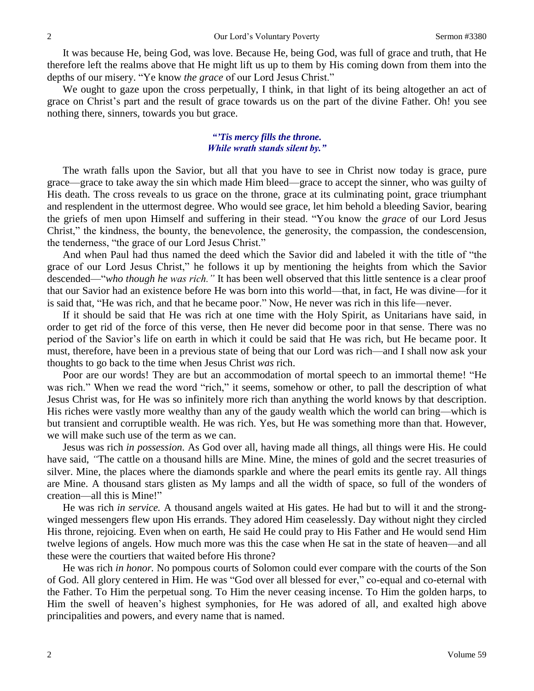It was because He, being God, was love. Because He, being God, was full of grace and truth, that He therefore left the realms above that He might lift us up to them by His coming down from them into the depths of our misery. "Ye know *the grace* of our Lord Jesus Christ."

We ought to gaze upon the cross perpetually, I think, in that light of its being altogether an act of grace on Christ's part and the result of grace towards us on the part of the divine Father. Oh! you see nothing there, sinners, towards you but grace.

### *"'Tis mercy fills the throne. While wrath stands silent by."*

The wrath falls upon the Savior, but all that you have to see in Christ now today is grace, pure grace—grace to take away the sin which made Him bleed—grace to accept the sinner, who was guilty of His death. The cross reveals to us grace on the throne, grace at its culminating point, grace triumphant and resplendent in the uttermost degree. Who would see grace, let him behold a bleeding Savior, bearing the griefs of men upon Himself and suffering in their stead. "You know the *grace* of our Lord Jesus Christ," the kindness, the bounty, the benevolence, the generosity, the compassion, the condescension, the tenderness, "the grace of our Lord Jesus Christ."

And when Paul had thus named the deed which the Savior did and labeled it with the title of "the grace of our Lord Jesus Christ," he follows it up by mentioning the heights from which the Savior descended—"*who though he was rich."* It has been well observed that this little sentence is a clear proof that our Savior had an existence before He was born into this world—that, in fact, He was divine—for it is said that, "He was rich, and that he became poor." Now, He never was rich in this life—never.

If it should be said that He was rich at one time with the Holy Spirit, as Unitarians have said, in order to get rid of the force of this verse, then He never did become poor in that sense. There was no period of the Savior's life on earth in which it could be said that He was rich, but He became poor. It must, therefore, have been in a previous state of being that our Lord was rich—and I shall now ask your thoughts to go back to the time when Jesus Christ *was* rich.

Poor are our words! They are but an accommodation of mortal speech to an immortal theme! "He was rich." When we read the word "rich," it seems, somehow or other, to pall the description of what Jesus Christ was, for He was so infinitely more rich than anything the world knows by that description. His riches were vastly more wealthy than any of the gaudy wealth which the world can bring—which is but transient and corruptible wealth. He was rich. Yes, but He was something more than that. However, we will make such use of the term as we can.

Jesus was rich *in possession.* As God over all, having made all things, all things were His. He could have said, *"*The cattle on a thousand hills are Mine. Mine, the mines of gold and the secret treasuries of silver. Mine, the places where the diamonds sparkle and where the pearl emits its gentle ray. All things are Mine. A thousand stars glisten as My lamps and all the width of space, so full of the wonders of creation—all this is Mine!"

He was rich *in service.* A thousand angels waited at His gates. He had but to will it and the strongwinged messengers flew upon His errands. They adored Him ceaselessly. Day without night they circled His throne, rejoicing. Even when on earth, He said He could pray to His Father and He would send Him twelve legions of angels. How much more was this the case when He sat in the state of heaven—and all these were the courtiers that waited before His throne?

He was rich *in honor.* No pompous courts of Solomon could ever compare with the courts of the Son of God. All glory centered in Him. He was "God over all blessed for ever," co-equal and co-eternal with the Father. To Him the perpetual song. To Him the never ceasing incense. To Him the golden harps, to Him the swell of heaven's highest symphonies, for He was adored of all, and exalted high above principalities and powers, and every name that is named.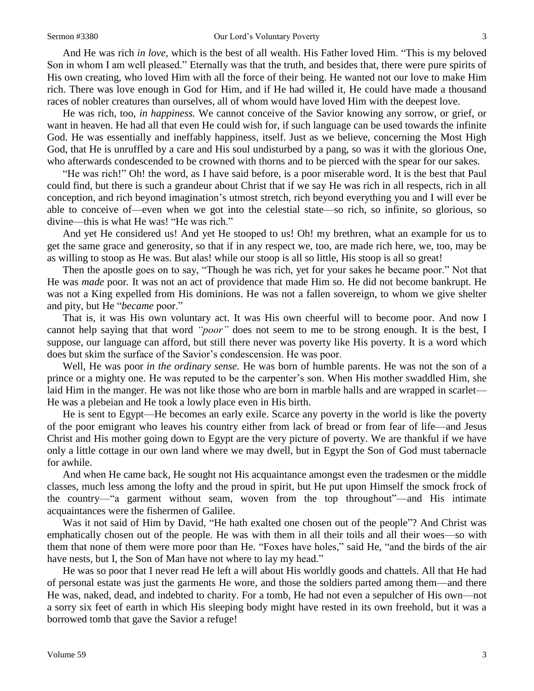And He was rich *in love,* which is the best of all wealth. His Father loved Him. "This is my beloved Son in whom I am well pleased." Eternally was that the truth, and besides that, there were pure spirits of His own creating, who loved Him with all the force of their being. He wanted not our love to make Him rich. There was love enough in God for Him, and if He had willed it, He could have made a thousand races of nobler creatures than ourselves, all of whom would have loved Him with the deepest love.

He was rich, too, *in happiness.* We cannot conceive of the Savior knowing any sorrow, or grief, or want in heaven. He had all that even He could wish for, if such language can be used towards the infinite God. He was essentially and ineffably happiness, itself. Just as we believe, concerning the Most High God, that He is unruffled by a care and His soul undisturbed by a pang, so was it with the glorious One, who afterwards condescended to be crowned with thorns and to be pierced with the spear for our sakes.

"He was rich!" Oh! the word, as I have said before, is a poor miserable word. It is the best that Paul could find, but there is such a grandeur about Christ that if we say He was rich in all respects, rich in all conception, and rich beyond imagination's utmost stretch, rich beyond everything you and I will ever be able to conceive of—even when we got into the celestial state—so rich, so infinite, so glorious, so divine—this is what He was! "He was rich."

And yet He considered us! And yet He stooped to us! Oh! my brethren, what an example for us to get the same grace and generosity, so that if in any respect we, too, are made rich here, we, too, may be as willing to stoop as He was. But alas! while our stoop is all so little, His stoop is all so great!

Then the apostle goes on to say, "Though he was rich, yet for your sakes he became poor." Not that He was *made* poor*.* It was not an act of providence that made Him so. He did not become bankrupt. He was not a King expelled from His dominions. He was not a fallen sovereign, to whom we give shelter and pity, but He "*became* poor."

That is, it was His own voluntary act. It was His own cheerful will to become poor. And now I cannot help saying that that word *"poor"* does not seem to me to be strong enough. It is the best, I suppose, our language can afford, but still there never was poverty like His poverty. It is a word which does but skim the surface of the Savior's condescension. He was poor.

Well, He was poor *in the ordinary sense.* He was born of humble parents. He was not the son of a prince or a mighty one. He was reputed to be the carpenter's son. When His mother swaddled Him, she laid Him in the manger. He was not like those who are born in marble halls and are wrapped in scarlet— He was a plebeian and He took a lowly place even in His birth.

He is sent to Egypt—He becomes an early exile. Scarce any poverty in the world is like the poverty of the poor emigrant who leaves his country either from lack of bread or from fear of life—and Jesus Christ and His mother going down to Egypt are the very picture of poverty. We are thankful if we have only a little cottage in our own land where we may dwell, but in Egypt the Son of God must tabernacle for awhile.

And when He came back, He sought not His acquaintance amongst even the tradesmen or the middle classes, much less among the lofty and the proud in spirit, but He put upon Himself the smock frock of the country—"a garment without seam, woven from the top throughout"—and His intimate acquaintances were the fishermen of Galilee.

Was it not said of Him by David, "He hath exalted one chosen out of the people"? And Christ was emphatically chosen out of the people. He was with them in all their toils and all their woes—so with them that none of them were more poor than He. "Foxes have holes," said He, "and the birds of the air have nests, but I, the Son of Man have not where to lay my head."

He was so poor that I never read He left a will about His worldly goods and chattels. All that He had of personal estate was just the garments He wore, and those the soldiers parted among them—and there He was, naked, dead, and indebted to charity. For a tomb, He had not even a sepulcher of His own—not a sorry six feet of earth in which His sleeping body might have rested in its own freehold, but it was a borrowed tomb that gave the Savior a refuge!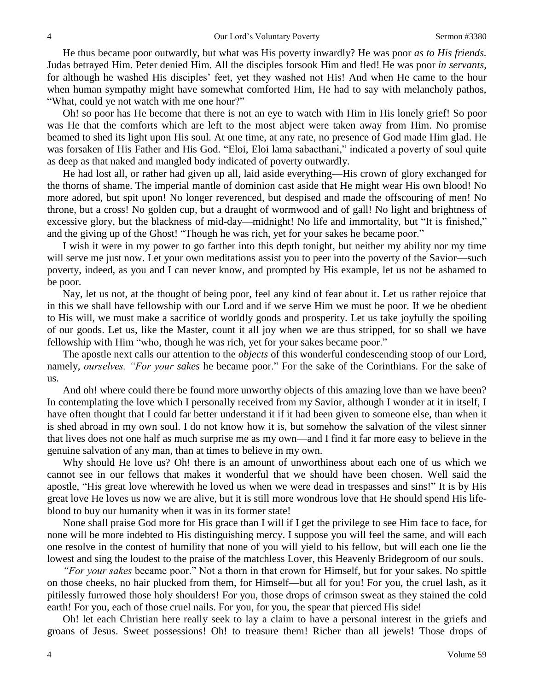He thus became poor outwardly, but what was His poverty inwardly? He was poor *as to His friends.*  Judas betrayed Him. Peter denied Him. All the disciples forsook Him and fled! He was poor *in servants,*  for although he washed His disciples' feet, yet they washed not His! And when He came to the hour when human sympathy might have somewhat comforted Him, He had to say with melancholy pathos, "What, could ye not watch with me one hour?"

Oh! so poor has He become that there is not an eye to watch with Him in His lonely grief! So poor was He that the comforts which are left to the most abject were taken away from Him. No promise beamed to shed its light upon His soul. At one time, at any rate, no presence of God made Him glad. He was forsaken of His Father and His God. "Eloi, Eloi lama sabacthani," indicated a poverty of soul quite as deep as that naked and mangled body indicated of poverty outwardly.

He had lost all, or rather had given up all, laid aside everything—His crown of glory exchanged for the thorns of shame. The imperial mantle of dominion cast aside that He might wear His own blood! No more adored, but spit upon! No longer reverenced, but despised and made the offscouring of men! No throne, but a cross! No golden cup, but a draught of wormwood and of gall! No light and brightness of excessive glory, but the blackness of mid-day—midnight! No life and immortality, but "It is finished," and the giving up of the Ghost! "Though he was rich, yet for your sakes he became poor."

I wish it were in my power to go farther into this depth tonight, but neither my ability nor my time will serve me just now. Let your own meditations assist you to peer into the poverty of the Savior—such poverty, indeed, as you and I can never know, and prompted by His example, let us not be ashamed to be poor.

Nay, let us not, at the thought of being poor, feel any kind of fear about it. Let us rather rejoice that in this we shall have fellowship with our Lord and if we serve Him we must be poor. If we be obedient to His will, we must make a sacrifice of worldly goods and prosperity. Let us take joyfully the spoiling of our goods. Let us, like the Master, count it all joy when we are thus stripped, for so shall we have fellowship with Him "who*,* though he was rich, yet for your sakes became poor."

The apostle next calls our attention to the *objects* of this wonderful condescending stoop of our Lord, namely, *ourselves. "For your sakes* he became poor." For the sake of the Corinthians. For the sake of us.

And oh! where could there be found more unworthy objects of this amazing love than we have been? In contemplating the love which I personally received from my Savior, although I wonder at it in itself, I have often thought that I could far better understand it if it had been given to someone else, than when it is shed abroad in my own soul. I do not know how it is, but somehow the salvation of the vilest sinner that lives does not one half as much surprise me as my own—and I find it far more easy to believe in the genuine salvation of any man, than at times to believe in my own.

Why should He love us? Oh! there is an amount of unworthiness about each one of us which we cannot see in our fellows that makes it wonderful that we should have been chosen. Well said the apostle, "His great love wherewith he loved us when we were dead in trespasses and sins!" It is by His great love He loves us now we are alive, but it is still more wondrous love that He should spend His lifeblood to buy our humanity when it was in its former state!

None shall praise God more for His grace than I will if I get the privilege to see Him face to face, for none will be more indebted to His distinguishing mercy. I suppose you will feel the same, and will each one resolve in the contest of humility that none of you will yield to his fellow, but will each one lie the lowest and sing the loudest to the praise of the matchless Lover, this Heavenly Bridegroom of our souls.

*"For your sakes* became poor." Not a thorn in that crown for Himself, but for your sakes. No spittle on those cheeks, no hair plucked from them, for Himself—but all for you! For you, the cruel lash, as it pitilessly furrowed those holy shoulders! For you, those drops of crimson sweat as they stained the cold earth! For you, each of those cruel nails. For you, for you, the spear that pierced His side!

Oh! let each Christian here really seek to lay a claim to have a personal interest in the griefs and groans of Jesus. Sweet possessions! Oh! to treasure them! Richer than all jewels! Those drops of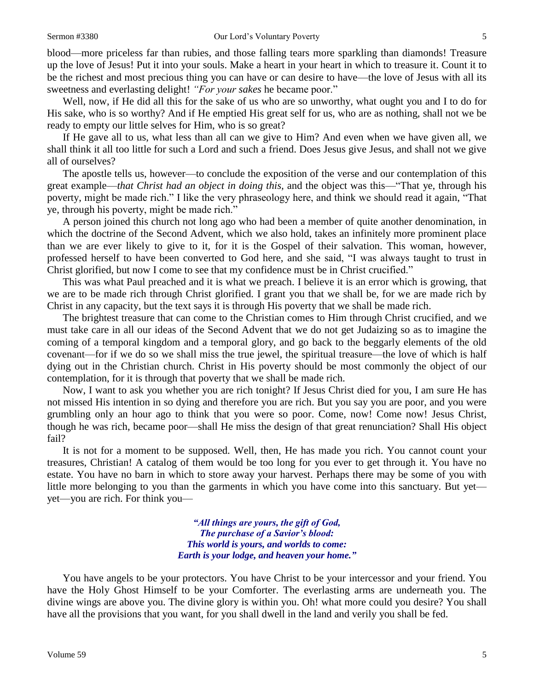blood—more priceless far than rubies, and those falling tears more sparkling than diamonds! Treasure up the love of Jesus! Put it into your souls. Make a heart in your heart in which to treasure it. Count it to be the richest and most precious thing you can have or can desire to have—the love of Jesus with all its sweetness and everlasting delight! *"For your sakes* he became poor."

Well, now, if He did all this for the sake of us who are so unworthy, what ought you and I to do for His sake, who is so worthy? And if He emptied His great self for us, who are as nothing, shall not we be ready to empty our little selves for Him, who is so great?

If He gave all to us, what less than all can we give to Him? And even when we have given all, we shall think it all too little for such a Lord and such a friend. Does Jesus give Jesus, and shall not we give all of ourselves?

The apostle tells us, however—to conclude the exposition of the verse and our contemplation of this great example—*that Christ had an object in doing this,* and the object was this—"That ye, through his poverty, might be made rich." I like the very phraseology here, and think we should read it again, "That ye, through his poverty, might be made rich."

A person joined this church not long ago who had been a member of quite another denomination, in which the doctrine of the Second Advent, which we also hold, takes an infinitely more prominent place than we are ever likely to give to it, for it is the Gospel of their salvation. This woman, however, professed herself to have been converted to God here, and she said, "I was always taught to trust in Christ glorified, but now I come to see that my confidence must be in Christ crucified."

This was what Paul preached and it is what we preach. I believe it is an error which is growing, that we are to be made rich through Christ glorified. I grant you that we shall be, for we are made rich by Christ in any capacity, but the text says it is through His poverty that we shall be made rich.

The brightest treasure that can come to the Christian comes to Him through Christ crucified, and we must take care in all our ideas of the Second Advent that we do not get Judaizing so as to imagine the coming of a temporal kingdom and a temporal glory, and go back to the beggarly elements of the old covenant—for if we do so we shall miss the true jewel, the spiritual treasure—the love of which is half dying out in the Christian church. Christ in His poverty should be most commonly the object of our contemplation, for it is through that poverty that we shall be made rich.

Now, I want to ask you whether you are rich tonight? If Jesus Christ died for you, I am sure He has not missed His intention in so dying and therefore you are rich. But you say you are poor, and you were grumbling only an hour ago to think that you were so poor. Come, now! Come now! Jesus Christ, though he was rich, became poor—shall He miss the design of that great renunciation? Shall His object fail?

It is not for a moment to be supposed. Well, then, He has made you rich. You cannot count your treasures, Christian! A catalog of them would be too long for you ever to get through it. You have no estate. You have no barn in which to store away your harvest. Perhaps there may be some of you with little more belonging to you than the garments in which you have come into this sanctuary. But yet yet—you are rich. For think you—

> *"All things are yours, the gift of God, The purchase of a Savior's blood: This world is yours, and worlds to come: Earth is your lodge, and heaven your home."*

You have angels to be your protectors. You have Christ to be your intercessor and your friend. You have the Holy Ghost Himself to be your Comforter. The everlasting arms are underneath you. The divine wings are above you. The divine glory is within you. Oh! what more could you desire? You shall have all the provisions that you want, for you shall dwell in the land and verily you shall be fed.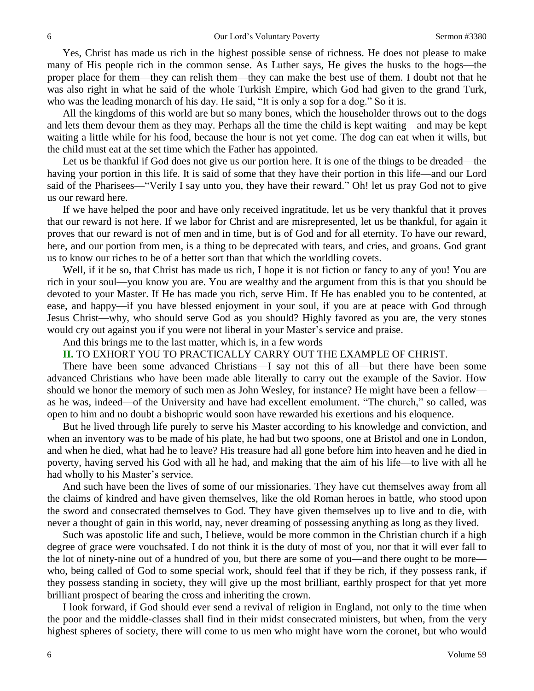Yes, Christ has made us rich in the highest possible sense of richness. He does not please to make many of His people rich in the common sense. As Luther says, He gives the husks to the hogs—the proper place for them—they can relish them—they can make the best use of them. I doubt not that he was also right in what he said of the whole Turkish Empire, which God had given to the grand Turk, who was the leading monarch of his day. He said, "It is only a sop for a dog." So it is.

All the kingdoms of this world are but so many bones, which the householder throws out to the dogs and lets them devour them as they may. Perhaps all the time the child is kept waiting—and may be kept waiting a little while for his food, because the hour is not yet come. The dog can eat when it wills, but the child must eat at the set time which the Father has appointed.

Let us be thankful if God does not give us our portion here. It is one of the things to be dreaded—the having your portion in this life. It is said of some that they have their portion in this life—and our Lord said of the Pharisees—"Verily I say unto you, they have their reward." Oh! let us pray God not to give us our reward here.

If we have helped the poor and have only received ingratitude, let us be very thankful that it proves that our reward is not here. If we labor for Christ and are misrepresented, let us be thankful, for again it proves that our reward is not of men and in time, but is of God and for all eternity. To have our reward, here, and our portion from men, is a thing to be deprecated with tears, and cries, and groans. God grant us to know our riches to be of a better sort than that which the worldling covets.

Well, if it be so, that Christ has made us rich, I hope it is not fiction or fancy to any of you! You are rich in your soul—you know you are. You are wealthy and the argument from this is that you should be devoted to your Master. If He has made you rich, serve Him. If He has enabled you to be contented, at ease, and happy—if you have blessed enjoyment in your soul, if you are at peace with God through Jesus Christ—why, who should serve God as you should? Highly favored as you are, the very stones would cry out against you if you were not liberal in your Master's service and praise.

And this brings me to the last matter, which is, in a few words—

**II.** TO EXHORT YOU TO PRACTICALLY CARRY OUT THE EXAMPLE OF CHRIST.

There have been some advanced Christians—I say not this of all—but there have been some advanced Christians who have been made able literally to carry out the example of the Savior. How should we honor the memory of such men as John Wesley, for instance? He might have been a fellow as he was, indeed—of the University and have had excellent emolument. "The church," so called, was open to him and no doubt a bishopric would soon have rewarded his exertions and his eloquence.

But he lived through life purely to serve his Master according to his knowledge and conviction, and when an inventory was to be made of his plate, he had but two spoons, one at Bristol and one in London, and when he died, what had he to leave? His treasure had all gone before him into heaven and he died in poverty, having served his God with all he had, and making that the aim of his life—to live with all he had wholly to his Master's service.

And such have been the lives of some of our missionaries. They have cut themselves away from all the claims of kindred and have given themselves, like the old Roman heroes in battle, who stood upon the sword and consecrated themselves to God. They have given themselves up to live and to die, with never a thought of gain in this world, nay, never dreaming of possessing anything as long as they lived.

Such was apostolic life and such, I believe, would be more common in the Christian church if a high degree of grace were vouchsafed. I do not think it is the duty of most of you, nor that it will ever fall to the lot of ninety-nine out of a hundred of you, but there are some of you—and there ought to be more who, being called of God to some special work, should feel that if they be rich, if they possess rank, if they possess standing in society, they will give up the most brilliant, earthly prospect for that yet more brilliant prospect of bearing the cross and inheriting the crown.

I look forward, if God should ever send a revival of religion in England, not only to the time when the poor and the middle-classes shall find in their midst consecrated ministers, but when, from the very highest spheres of society, there will come to us men who might have worn the coronet, but who would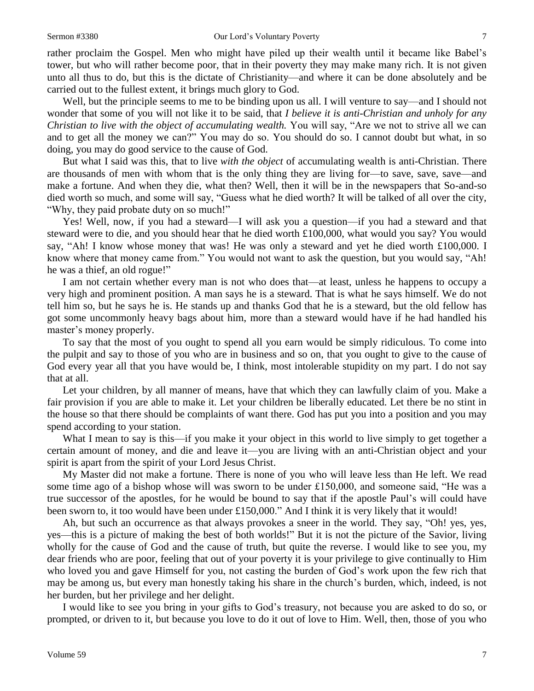rather proclaim the Gospel. Men who might have piled up their wealth until it became like Babel's tower, but who will rather become poor, that in their poverty they may make many rich. It is not given unto all thus to do, but this is the dictate of Christianity—and where it can be done absolutely and be carried out to the fullest extent, it brings much glory to God.

Well, but the principle seems to me to be binding upon us all. I will venture to say—and I should not wonder that some of you will not like it to be said, that *I believe it is anti-Christian and unholy for any Christian to live with the object of accumulating wealth.* You will say, "Are we not to strive all we can and to get all the money we can?" You may do so. You should do so. I cannot doubt but what, in so doing, you may do good service to the cause of God.

But what I said was this, that to live *with the object* of accumulating wealth is anti-Christian. There are thousands of men with whom that is the only thing they are living for—to save, save, save—and make a fortune. And when they die, what then? Well, then it will be in the newspapers that So-and-so died worth so much, and some will say, "Guess what he died worth? It will be talked of all over the city, "Why, they paid probate duty on so much!"

Yes! Well, now, if you had a steward—I will ask you a question—if you had a steward and that steward were to die, and you should hear that he died worth £100,000, what would you say? You would say, "Ah! I know whose money that was! He was only a steward and yet he died worth £100,000. I know where that money came from." You would not want to ask the question, but you would say, "Ah! he was a thief, an old rogue!"

I am not certain whether every man is not who does that—at least, unless he happens to occupy a very high and prominent position. A man says he is a steward. That is what he says himself. We do not tell him so, but he says he is. He stands up and thanks God that he is a steward, but the old fellow has got some uncommonly heavy bags about him, more than a steward would have if he had handled his master's money properly.

To say that the most of you ought to spend all you earn would be simply ridiculous. To come into the pulpit and say to those of you who are in business and so on, that you ought to give to the cause of God every year all that you have would be, I think, most intolerable stupidity on my part. I do not say that at all.

Let your children, by all manner of means, have that which they can lawfully claim of you. Make a fair provision if you are able to make it. Let your children be liberally educated. Let there be no stint in the house so that there should be complaints of want there. God has put you into a position and you may spend according to your station.

What I mean to say is this—if you make it your object in this world to live simply to get together a certain amount of money, and die and leave it—you are living with an anti-Christian object and your spirit is apart from the spirit of your Lord Jesus Christ.

My Master did not make a fortune. There is none of you who will leave less than He left. We read some time ago of a bishop whose will was sworn to be under £150,000, and someone said, "He was a true successor of the apostles, for he would be bound to say that if the apostle Paul's will could have been sworn to, it too would have been under £150,000." And I think it is very likely that it would!

Ah, but such an occurrence as that always provokes a sneer in the world. They say, "Oh! yes, yes, yes—this is a picture of making the best of both worlds!" But it is not the picture of the Savior, living wholly for the cause of God and the cause of truth, but quite the reverse. I would like to see you, my dear friends who are poor, feeling that out of your poverty it is your privilege to give continually to Him who loved you and gave Himself for you, not casting the burden of God's work upon the few rich that may be among us, but every man honestly taking his share in the church's burden, which, indeed, is not her burden, but her privilege and her delight.

I would like to see you bring in your gifts to God's treasury, not because you are asked to do so, or prompted, or driven to it, but because you love to do it out of love to Him. Well, then, those of you who